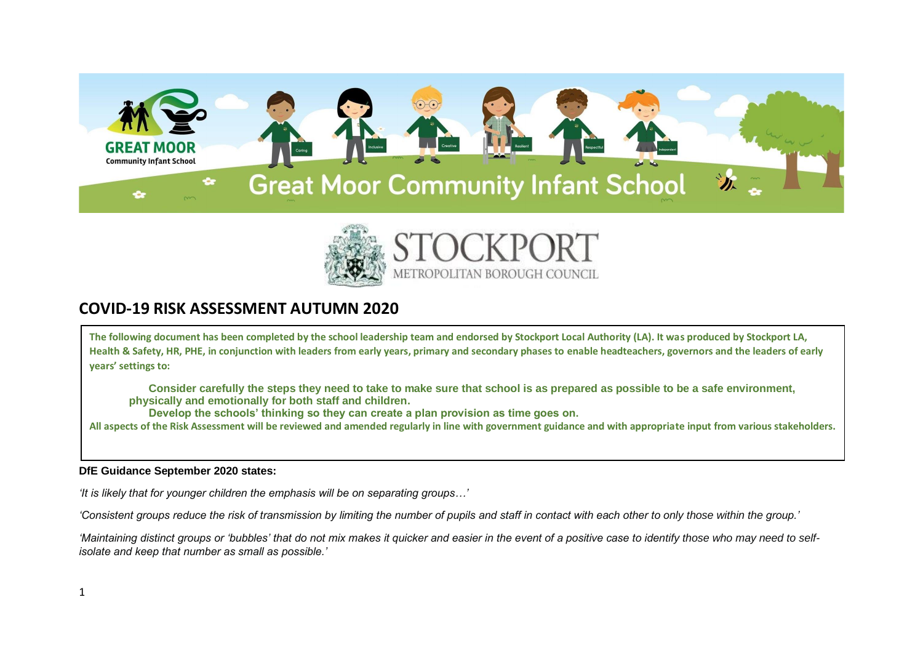



## **COVID-19 RISK ASSESSMENT AUTUMN 2020**

**The following document has been completed by the school leadership team and endorsed by Stockport Local Authority (LA). It was produced by Stockport LA, Health & Safety, HR, PHE, in conjunction with leaders from early years, primary and secondary phases to enable headteachers, governors and the leaders of early years' settings to:**

**Consider carefully the steps they need to take to make sure that school is as prepared as possible to be a safe environment, physically and emotionally for both staff and children.**

**Develop the schools' thinking so they can create a plan provision as time goes on.**

**All aspects of the Risk Assessment will be reviewed and amended regularly in line with government guidance and with appropriate input from various stakeholders.**

## **DfE Guidance September 2020 states:**

*'It is likely that for younger children the emphasis will be on separating groups…'*

'Consistent groups reduce the risk of transmission by limiting the number of pupils and staff in contact with each other to only those within the group.'

*'Maintaining distinct groups or 'bubbles' that do not mix makes it quicker and easier in the event of a positive case to identify those who may need to selfisolate and keep that number as small as possible.'*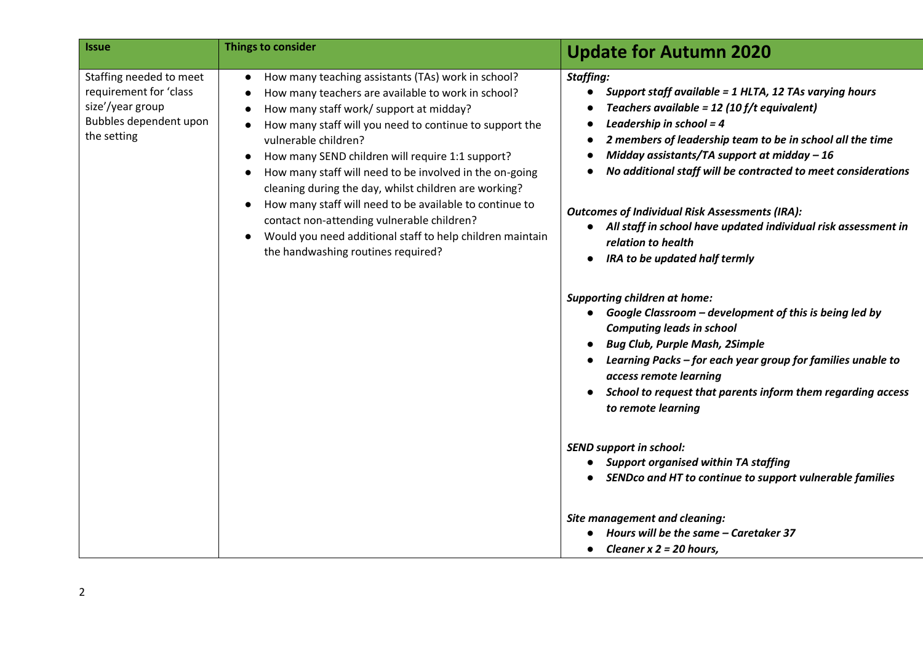| <b>Issue</b>                                                                                                   | Things to consider                                                                                                                                                                                                                                                                                                                                                                                                                                                                                                                                                                                                         | <b>Update for Autumn 2020</b>                                                                                                                                                                                                                                                                                                                                                                                                                                                                                                    |
|----------------------------------------------------------------------------------------------------------------|----------------------------------------------------------------------------------------------------------------------------------------------------------------------------------------------------------------------------------------------------------------------------------------------------------------------------------------------------------------------------------------------------------------------------------------------------------------------------------------------------------------------------------------------------------------------------------------------------------------------------|----------------------------------------------------------------------------------------------------------------------------------------------------------------------------------------------------------------------------------------------------------------------------------------------------------------------------------------------------------------------------------------------------------------------------------------------------------------------------------------------------------------------------------|
| Staffing needed to meet<br>requirement for 'class<br>size'/year group<br>Bubbles dependent upon<br>the setting | How many teaching assistants (TAs) work in school?<br>How many teachers are available to work in school?<br>How many staff work/ support at midday?<br>How many staff will you need to continue to support the<br>vulnerable children?<br>How many SEND children will require 1:1 support?<br>How many staff will need to be involved in the on-going<br>cleaning during the day, whilst children are working?<br>How many staff will need to be available to continue to<br>contact non-attending vulnerable children?<br>Would you need additional staff to help children maintain<br>the handwashing routines required? | <b>Staffing:</b><br>Support staff available = 1 HLTA, 12 TAs varying hours<br>Teachers available = 12 (10 f/t equivalent)<br>Leadership in school = $4$<br>2 members of leadership team to be in school all the time<br>Midday assistants/TA support at midday $-16$<br>No additional staff will be contracted to meet considerations<br><b>Outcomes of Individual Risk Assessments (IRA):</b><br>• All staff in school have updated individual risk assessment in<br>relation to health<br><b>IRA to be updated half termly</b> |
|                                                                                                                |                                                                                                                                                                                                                                                                                                                                                                                                                                                                                                                                                                                                                            | <b>Supporting children at home:</b><br>• Google Classroom - development of this is being led by<br><b>Computing leads in school</b><br><b>Bug Club, Purple Mash, 2Simple</b><br>Learning Packs - for each year group for families unable to<br>access remote learning<br>School to request that parents inform them regarding access<br>to remote learning                                                                                                                                                                       |
|                                                                                                                |                                                                                                                                                                                                                                                                                                                                                                                                                                                                                                                                                                                                                            | <b>SEND support in school:</b><br><b>Support organised within TA staffing</b><br>SENDco and HT to continue to support vulnerable families                                                                                                                                                                                                                                                                                                                                                                                        |
|                                                                                                                |                                                                                                                                                                                                                                                                                                                                                                                                                                                                                                                                                                                                                            | <b>Site management and cleaning:</b><br>Hours will be the same - Caretaker 37<br>Cleaner $x$ 2 = 20 hours,                                                                                                                                                                                                                                                                                                                                                                                                                       |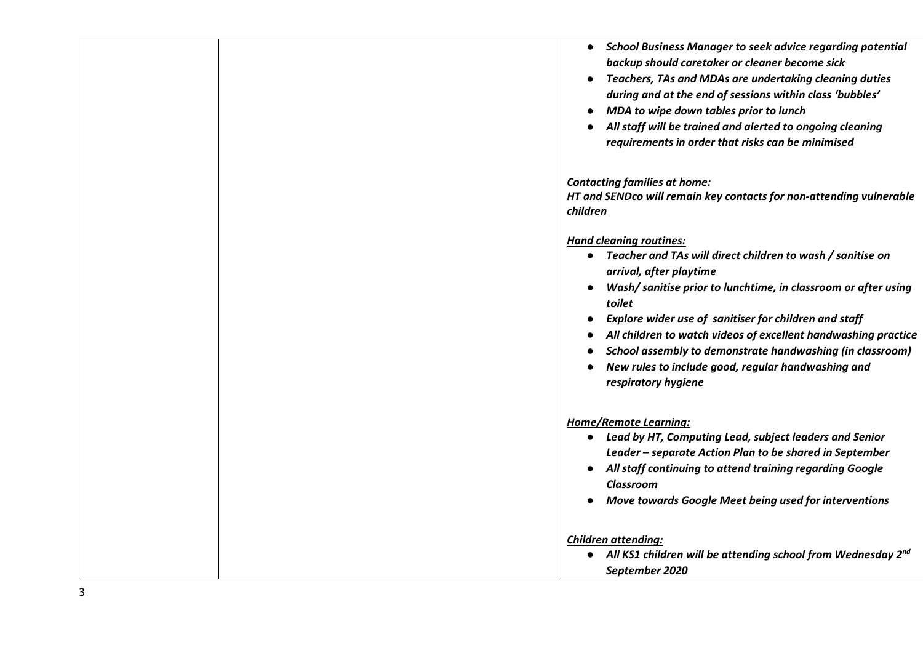|  | <b>School Business Manager to seek advice regarding potential</b><br>$\bullet$<br>backup should caretaker or cleaner become sick<br>Teachers, TAs and MDAs are undertaking cleaning duties<br>during and at the end of sessions within class 'bubbles'<br>MDA to wipe down tables prior to lunch<br>$\bullet$<br>All staff will be trained and alerted to ongoing cleaning<br>requirements in order that risks can be minimised                                          |
|--|--------------------------------------------------------------------------------------------------------------------------------------------------------------------------------------------------------------------------------------------------------------------------------------------------------------------------------------------------------------------------------------------------------------------------------------------------------------------------|
|  | <b>Contacting families at home:</b><br>HT and SENDco will remain key contacts for non-attending vulnerable<br>children                                                                                                                                                                                                                                                                                                                                                   |
|  | <b>Hand cleaning routines:</b><br>Teacher and TAs will direct children to wash / sanitise on<br>arrival, after playtime<br>Wash/ sanitise prior to lunchtime, in classroom or after using<br>toilet<br>Explore wider use of sanitiser for children and staff<br>All children to watch videos of excellent handwashing practice<br>School assembly to demonstrate handwashing (in classroom)<br>New rules to include good, regular handwashing and<br>respiratory hygiene |
|  | <b>Home/Remote Learning:</b><br>Lead by HT, Computing Lead, subject leaders and Senior<br>$\bullet$<br>Leader - separate Action Plan to be shared in September<br>All staff continuing to attend training regarding Google<br>Classroom<br>Move towards Google Meet being used for interventions                                                                                                                                                                         |
|  | <b>Children attending:</b><br>• All KS1 children will be attending school from Wednesday $2^{nd}$<br>September 2020                                                                                                                                                                                                                                                                                                                                                      |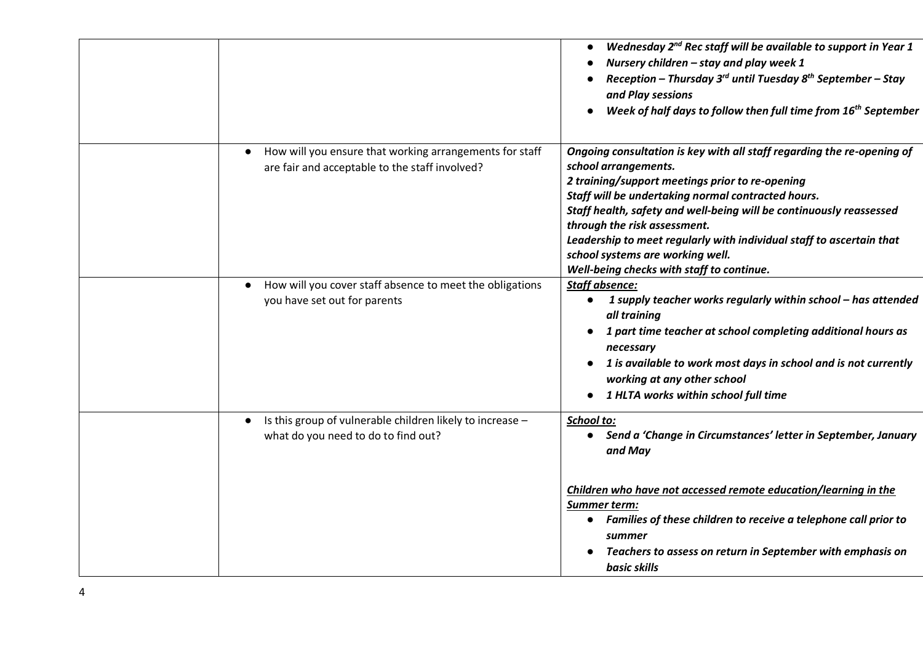|                                                                                                           | Wednesday 2 <sup>nd</sup> Rec staff will be available to support in Year 1<br>Nursery children - stay and play week 1<br>Reception - Thursday $3^{rd}$ until Tuesday $8^{th}$ September - Stay<br>and Play sessions<br>Week of half days to follow then full time from 16 <sup>th</sup> September<br>$\bullet$                                                                                                                                                          |
|-----------------------------------------------------------------------------------------------------------|-------------------------------------------------------------------------------------------------------------------------------------------------------------------------------------------------------------------------------------------------------------------------------------------------------------------------------------------------------------------------------------------------------------------------------------------------------------------------|
| How will you ensure that working arrangements for staff<br>are fair and acceptable to the staff involved? | Ongoing consultation is key with all staff regarding the re-opening of<br>school arrangements.<br>2 training/support meetings prior to re-opening<br>Staff will be undertaking normal contracted hours.<br>Staff health, safety and well-being will be continuously reassessed<br>through the risk assessment.<br>Leadership to meet regularly with individual staff to ascertain that<br>school systems are working well.<br>Well-being checks with staff to continue. |
| How will you cover staff absence to meet the obligations<br>$\bullet$<br>you have set out for parents     | <b>Staff absence:</b><br>1 supply teacher works regularly within school - has attended<br>$\bullet$<br>all training<br>1 part time teacher at school completing additional hours as<br>necessary<br>1 is available to work most days in school and is not currently<br>working at any other school<br>1 HLTA works within school full time                                                                                                                              |
| Is this group of vulnerable children likely to increase -<br>what do you need to do to find out?          | School to:<br>Send a 'Change in Circumstances' letter in September, January<br>$\bullet$<br>and May<br>Children who have not accessed remote education/learning in the<br>Summer term:<br>Families of these children to receive a telephone call prior to<br>summer<br>Teachers to assess on return in September with emphasis on<br>basic skills                                                                                                                       |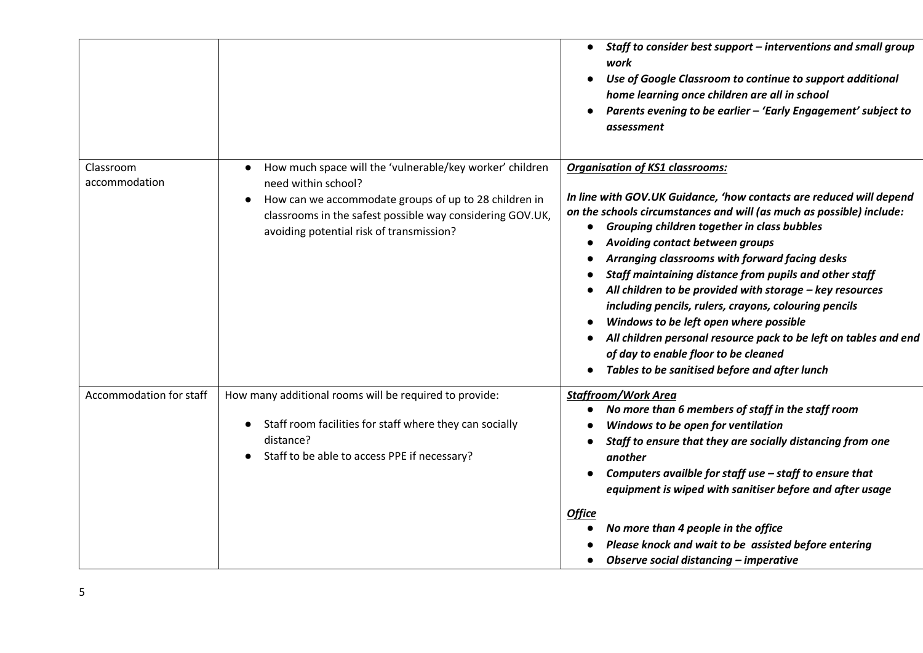|                            |                                                                                                                                                                                                                                                                | Staff to consider best support - interventions and small group<br>$\bullet$<br>work<br>Use of Google Classroom to continue to support additional<br>home learning once children are all in school<br>Parents evening to be earlier - 'Early Engagement' subject to<br>assessment                                                                                                                                                                                                                                                                                                                                                                                                                                |
|----------------------------|----------------------------------------------------------------------------------------------------------------------------------------------------------------------------------------------------------------------------------------------------------------|-----------------------------------------------------------------------------------------------------------------------------------------------------------------------------------------------------------------------------------------------------------------------------------------------------------------------------------------------------------------------------------------------------------------------------------------------------------------------------------------------------------------------------------------------------------------------------------------------------------------------------------------------------------------------------------------------------------------|
| Classroom<br>accommodation | How much space will the 'vulnerable/key worker' children<br>$\bullet$<br>need within school?<br>How can we accommodate groups of up to 28 children in<br>classrooms in the safest possible way considering GOV.UK,<br>avoiding potential risk of transmission? | <b>Organisation of KS1 classrooms:</b><br>In line with GOV.UK Guidance, 'how contacts are reduced will depend<br>on the schools circumstances and will (as much as possible) include:<br>Grouping children together in class bubbles<br>Avoiding contact between groups<br>Arranging classrooms with forward facing desks<br>Staff maintaining distance from pupils and other staff<br>All children to be provided with storage - key resources<br>including pencils, rulers, crayons, colouring pencils<br>Windows to be left open where possible<br>All children personal resource pack to be left on tables and end<br>of day to enable floor to be cleaned<br>Tables to be sanitised before and after lunch |
| Accommodation for staff    | How many additional rooms will be required to provide:<br>Staff room facilities for staff where they can socially<br>distance?<br>Staff to be able to access PPE if necessary?                                                                                 | <b>Staffroom/Work Area</b><br>No more than 6 members of staff in the staff room<br>Windows to be open for ventilation<br>Staff to ensure that they are socially distancing from one<br>another<br>Computers availble for staff use - staff to ensure that<br>equipment is wiped with sanitiser before and after usage<br><b>Office</b><br>No more than 4 people in the office<br>Please knock and wait to be assisted before entering<br>Observe social distancing - imperative<br>$\bullet$                                                                                                                                                                                                                    |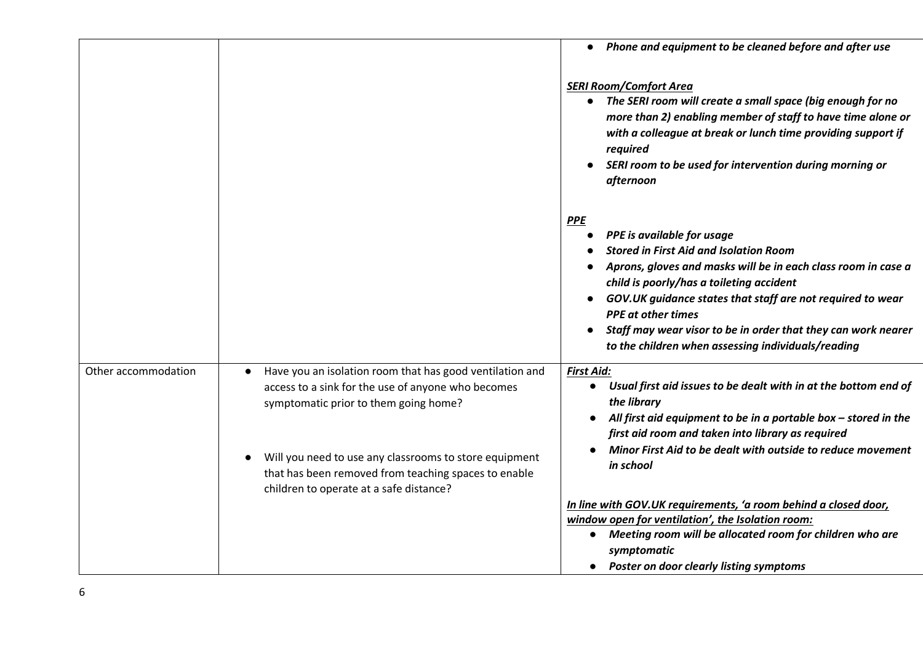|                     |                                                                                                                                                                                                                                                                                                                      | Phone and equipment to be cleaned before and after use                                                                                                                                                                                                                                                                                                                                                                   |
|---------------------|----------------------------------------------------------------------------------------------------------------------------------------------------------------------------------------------------------------------------------------------------------------------------------------------------------------------|--------------------------------------------------------------------------------------------------------------------------------------------------------------------------------------------------------------------------------------------------------------------------------------------------------------------------------------------------------------------------------------------------------------------------|
|                     |                                                                                                                                                                                                                                                                                                                      | <b>SERI Room/Comfort Area</b><br>• The SERI room will create a small space (big enough for no<br>more than 2) enabling member of staff to have time alone or<br>with a colleague at break or lunch time providing support if<br>required<br>SERI room to be used for intervention during morning or<br>afternoon                                                                                                         |
|                     |                                                                                                                                                                                                                                                                                                                      | <b>PPE</b><br>PPE is available for usage<br><b>Stored in First Aid and Isolation Room</b><br>Aprons, gloves and masks will be in each class room in case a<br>child is poorly/has a toileting accident<br>GOV.UK guidance states that staff are not required to wear<br><b>PPE</b> at other times<br>Staff may wear visor to be in order that they can work nearer<br>to the children when assessing individuals/reading |
| Other accommodation | Have you an isolation room that has good ventilation and<br>access to a sink for the use of anyone who becomes<br>symptomatic prior to them going home?<br>Will you need to use any classrooms to store equipment<br>that has been removed from teaching spaces to enable<br>children to operate at a safe distance? | <b>First Aid:</b><br>• Usual first aid issues to be dealt with in at the bottom end of<br>the library<br>All first aid equipment to be in a portable box $-$ stored in the<br>first aid room and taken into library as required<br>Minor First Aid to be dealt with outside to reduce movement<br>in school                                                                                                              |
|                     |                                                                                                                                                                                                                                                                                                                      | In line with GOV.UK requirements, 'a room behind a closed door,<br>window open for ventilation', the Isolation room:<br>• Meeting room will be allocated room for children who are<br>symptomatic<br><b>Poster on door clearly listing symptoms</b>                                                                                                                                                                      |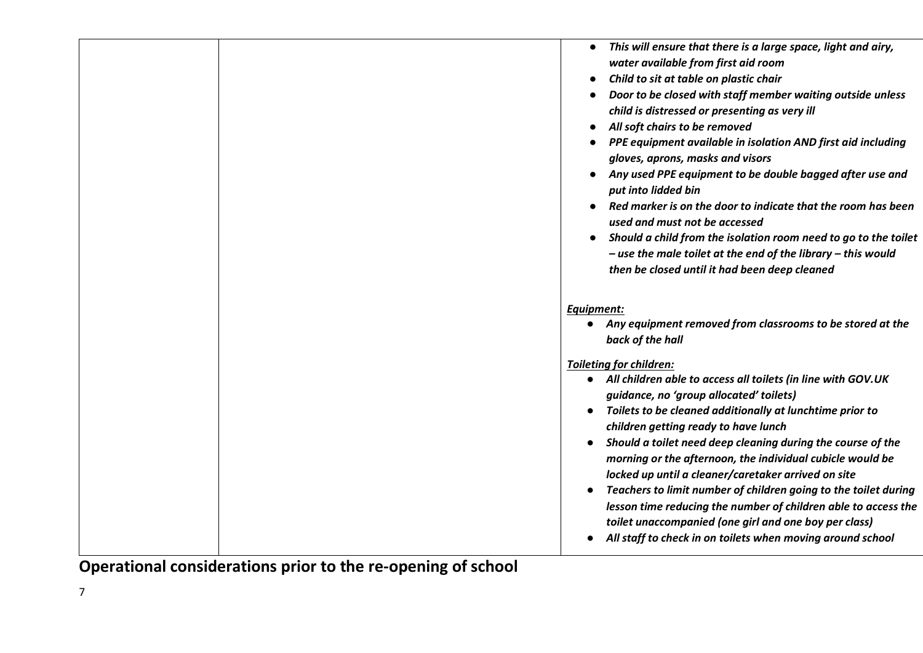|  | This will ensure that there is a large space, light and airy,<br>$\bullet$<br>water available from first aid room<br>Child to sit at table on plastic chair<br>Door to be closed with staff member waiting outside unless<br>child is distressed or presenting as very ill<br>All soft chairs to be removed<br>PPE equipment available in isolation AND first aid including<br>gloves, aprons, masks and visors<br>Any used PPE equipment to be double bagged after use and<br>put into lidded bin<br>Red marker is on the door to indicate that the room has been<br>used and must not be accessed<br>Should a child from the isolation room need to go to the toilet<br>- use the male toilet at the end of the library - this would<br>then be closed until it had been deep cleaned |
|--|-----------------------------------------------------------------------------------------------------------------------------------------------------------------------------------------------------------------------------------------------------------------------------------------------------------------------------------------------------------------------------------------------------------------------------------------------------------------------------------------------------------------------------------------------------------------------------------------------------------------------------------------------------------------------------------------------------------------------------------------------------------------------------------------|
|  |                                                                                                                                                                                                                                                                                                                                                                                                                                                                                                                                                                                                                                                                                                                                                                                         |
|  | Equipment:                                                                                                                                                                                                                                                                                                                                                                                                                                                                                                                                                                                                                                                                                                                                                                              |
|  | • Any equipment removed from classrooms to be stored at the<br>back of the hall                                                                                                                                                                                                                                                                                                                                                                                                                                                                                                                                                                                                                                                                                                         |
|  |                                                                                                                                                                                                                                                                                                                                                                                                                                                                                                                                                                                                                                                                                                                                                                                         |
|  | <b>Toileting for children:</b>                                                                                                                                                                                                                                                                                                                                                                                                                                                                                                                                                                                                                                                                                                                                                          |
|  | • All children able to access all toilets (in line with GOV.UK<br>guidance, no 'group allocated' toilets)                                                                                                                                                                                                                                                                                                                                                                                                                                                                                                                                                                                                                                                                               |
|  | Toilets to be cleaned additionally at lunchtime prior to                                                                                                                                                                                                                                                                                                                                                                                                                                                                                                                                                                                                                                                                                                                                |
|  | children getting ready to have lunch                                                                                                                                                                                                                                                                                                                                                                                                                                                                                                                                                                                                                                                                                                                                                    |
|  | Should a toilet need deep cleaning during the course of the<br>morning or the afternoon, the individual cubicle would be                                                                                                                                                                                                                                                                                                                                                                                                                                                                                                                                                                                                                                                                |
|  | locked up until a cleaner/caretaker arrived on site                                                                                                                                                                                                                                                                                                                                                                                                                                                                                                                                                                                                                                                                                                                                     |
|  | Teachers to limit number of children going to the toilet during                                                                                                                                                                                                                                                                                                                                                                                                                                                                                                                                                                                                                                                                                                                         |
|  | lesson time reducing the number of children able to access the                                                                                                                                                                                                                                                                                                                                                                                                                                                                                                                                                                                                                                                                                                                          |
|  |                                                                                                                                                                                                                                                                                                                                                                                                                                                                                                                                                                                                                                                                                                                                                                                         |
|  | toilet unaccompanied (one girl and one boy per class)                                                                                                                                                                                                                                                                                                                                                                                                                                                                                                                                                                                                                                                                                                                                   |

**Operational considerations prior to the re-opening of school**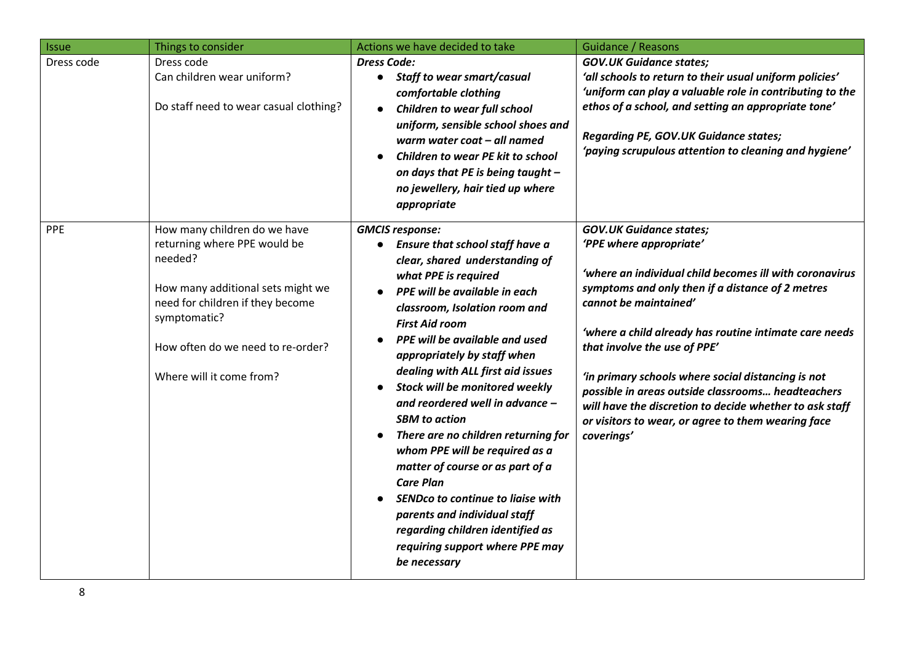| <b>Issue</b> | Things to consider                                                                                                                                                                                                                | Actions we have decided to take                                                                                                                                                                                                                                                                                                                                                                                                                                                                                                                                                                                                                                                                                                           | <b>Guidance / Reasons</b>                                                                                                                                                                                                                                                                                                                                                                                                                                                                                                             |
|--------------|-----------------------------------------------------------------------------------------------------------------------------------------------------------------------------------------------------------------------------------|-------------------------------------------------------------------------------------------------------------------------------------------------------------------------------------------------------------------------------------------------------------------------------------------------------------------------------------------------------------------------------------------------------------------------------------------------------------------------------------------------------------------------------------------------------------------------------------------------------------------------------------------------------------------------------------------------------------------------------------------|---------------------------------------------------------------------------------------------------------------------------------------------------------------------------------------------------------------------------------------------------------------------------------------------------------------------------------------------------------------------------------------------------------------------------------------------------------------------------------------------------------------------------------------|
| Dress code   | Dress code<br>Can children wear uniform?<br>Do staff need to wear casual clothing?                                                                                                                                                | <b>Dress Code:</b><br><b>Staff to wear smart/casual</b><br>$\bullet$<br>comfortable clothing<br><b>Children to wear full school</b><br>$\bullet$<br>uniform, sensible school shoes and<br>warm water coat - all named<br>Children to wear PE kit to school<br>on days that PE is being taught -<br>no jewellery, hair tied up where<br>appropriate                                                                                                                                                                                                                                                                                                                                                                                        | <b>GOV.UK Guidance states;</b><br>'all schools to return to their usual uniform policies'<br>'uniform can play a valuable role in contributing to the<br>ethos of a school, and setting an appropriate tone'<br><b>Regarding PE, GOV.UK Guidance states;</b><br>'paying scrupulous attention to cleaning and hygiene'                                                                                                                                                                                                                 |
| PPE          | How many children do we have<br>returning where PPE would be<br>needed?<br>How many additional sets might we<br>need for children if they become<br>symptomatic?<br>How often do we need to re-order?<br>Where will it come from? | <b>GMCIS response:</b><br><b>Ensure that school staff have a</b><br>clear, shared understanding of<br>what PPE is required<br>PPE will be available in each<br>classroom, Isolation room and<br><b>First Aid room</b><br>PPE will be available and used<br>appropriately by staff when<br>dealing with ALL first aid issues<br>Stock will be monitored weekly<br>$\bullet$<br>and reordered well in advance -<br><b>SBM</b> to action<br>There are no children returning for<br>whom PPE will be required as a<br>matter of course or as part of a<br><b>Care Plan</b><br><b>SENDco to continue to liaise with</b><br>parents and individual staff<br>regarding children identified as<br>requiring support where PPE may<br>be necessary | <b>GOV.UK Guidance states;</b><br>'PPE where appropriate'<br>'where an individual child becomes ill with coronavirus<br>symptoms and only then if a distance of 2 metres<br>cannot be maintained'<br>'where a child already has routine intimate care needs<br>that involve the use of PPE'<br>'in primary schools where social distancing is not<br>possible in areas outside classrooms headteachers<br>will have the discretion to decide whether to ask staff<br>or visitors to wear, or agree to them wearing face<br>coverings' |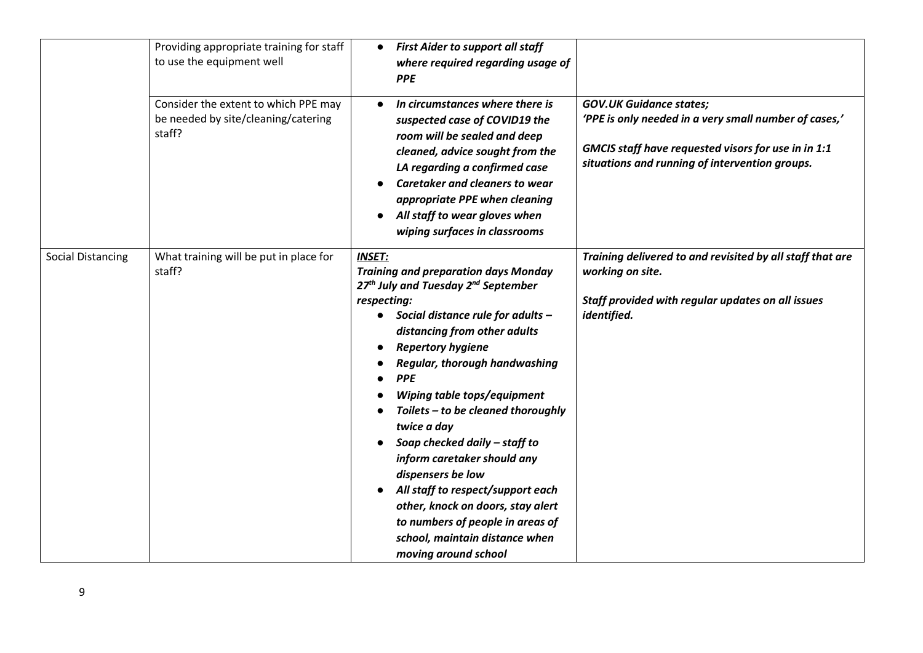|                          | Providing appropriate training for staff<br>to use the equipment well                 | <b>First Aider to support all staff</b><br>$\bullet$<br>where required regarding usage of<br><b>PPE</b>                                                                                                                                                                                                                                                                                                                                                                                                                                                                                                                                                                      |                                                                                                                                                                                                  |
|--------------------------|---------------------------------------------------------------------------------------|------------------------------------------------------------------------------------------------------------------------------------------------------------------------------------------------------------------------------------------------------------------------------------------------------------------------------------------------------------------------------------------------------------------------------------------------------------------------------------------------------------------------------------------------------------------------------------------------------------------------------------------------------------------------------|--------------------------------------------------------------------------------------------------------------------------------------------------------------------------------------------------|
|                          | Consider the extent to which PPE may<br>be needed by site/cleaning/catering<br>staff? | In circumstances where there is<br>$\bullet$<br>suspected case of COVID19 the<br>room will be sealed and deep<br>cleaned, advice sought from the<br>LA regarding a confirmed case<br>Caretaker and cleaners to wear<br>appropriate PPE when cleaning<br>All staff to wear gloves when<br>wiping surfaces in classrooms                                                                                                                                                                                                                                                                                                                                                       | <b>GOV.UK Guidance states;</b><br>'PPE is only needed in a very small number of cases,'<br>GMCIS staff have requested visors for use in in 1:1<br>situations and running of intervention groups. |
| <b>Social Distancing</b> | What training will be put in place for<br>staff?                                      | <b>INSET:</b><br><b>Training and preparation days Monday</b><br>27 <sup>th</sup> July and Tuesday 2 <sup>nd</sup> September<br>respecting:<br>Social distance rule for adults -<br>$\bullet$<br>distancing from other adults<br><b>Repertory hygiene</b><br><b>Regular, thorough handwashing</b><br><b>PPE</b><br>$\bullet$<br>Wiping table tops/equipment<br>Toilets - to be cleaned thoroughly<br>twice a day<br>Soap checked daily - staff to<br>inform caretaker should any<br>dispensers be low<br>All staff to respect/support each<br>other, knock on doors, stay alert<br>to numbers of people in areas of<br>school, maintain distance when<br>moving around school | Training delivered to and revisited by all staff that are<br>working on site.<br>Staff provided with regular updates on all issues<br>identified.                                                |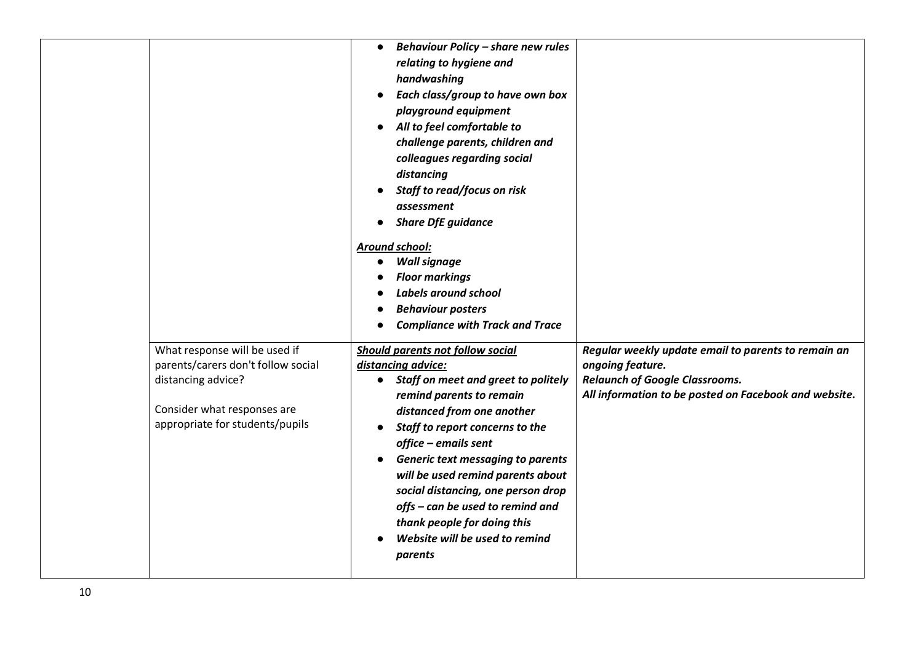|                                                                                                                                                             | <b>Behaviour Policy - share new rules</b><br>$\bullet$<br>relating to hygiene and<br>handwashing<br>Each class/group to have own box<br>playground equipment<br>All to feel comfortable to<br>$\bullet$<br>challenge parents, children and<br>colleagues regarding social<br>distancing<br>Staff to read/focus on risk<br>assessment<br><b>Share DfE guidance</b><br><b>Around school:</b><br><b>Wall signage</b><br><b>Floor markings</b><br>Labels around school<br><b>Behaviour posters</b><br><b>Compliance with Track and Trace</b> |                                                                                                                                                                           |
|-------------------------------------------------------------------------------------------------------------------------------------------------------------|------------------------------------------------------------------------------------------------------------------------------------------------------------------------------------------------------------------------------------------------------------------------------------------------------------------------------------------------------------------------------------------------------------------------------------------------------------------------------------------------------------------------------------------|---------------------------------------------------------------------------------------------------------------------------------------------------------------------------|
| What response will be used if<br>parents/carers don't follow social<br>distancing advice?<br>Consider what responses are<br>appropriate for students/pupils | Should parents not follow social<br>distancing advice:<br>Staff on meet and greet to politely<br>$\bullet$<br>remind parents to remain<br>distanced from one another<br>Staff to report concerns to the<br>office - emails sent<br><b>Generic text messaging to parents</b><br>$\bullet$<br>will be used remind parents about<br>social distancing, one person drop<br>offs - can be used to remind and<br>thank people for doing this<br>Website will be used to remind<br>parents                                                      | Regular weekly update email to parents to remain an<br>ongoing feature.<br><b>Relaunch of Google Classrooms.</b><br>All information to be posted on Facebook and website. |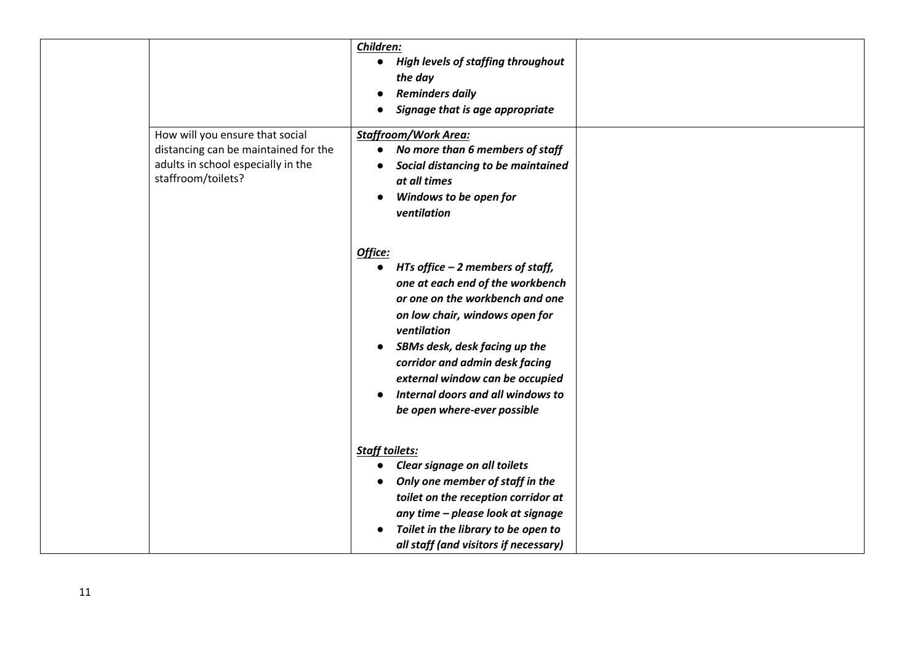|                                                                                                                                     | Children:<br>• High levels of staffing throughout<br>the day<br><b>Reminders daily</b><br>$\bullet$<br>Signage that is age appropriate<br>$\bullet$                                                                                                                                                                                                                                   |  |
|-------------------------------------------------------------------------------------------------------------------------------------|---------------------------------------------------------------------------------------------------------------------------------------------------------------------------------------------------------------------------------------------------------------------------------------------------------------------------------------------------------------------------------------|--|
| How will you ensure that social<br>distancing can be maintained for the<br>adults in school especially in the<br>staffroom/toilets? | <b>Staffroom/Work Area:</b><br>No more than 6 members of staff<br>$\bullet$<br>Social distancing to be maintained<br>$\bullet$<br>at all times<br>Windows to be open for<br>ventilation                                                                                                                                                                                               |  |
|                                                                                                                                     | Office:<br>HTs office $-2$ members of staff,<br>$\bullet$<br>one at each end of the workbench<br>or one on the workbench and one<br>on low chair, windows open for<br>ventilation<br>SBMs desk, desk facing up the<br>$\bullet$<br>corridor and admin desk facing<br>external window can be occupied<br>Internal doors and all windows to<br>$\bullet$<br>be open where-ever possible |  |
|                                                                                                                                     | <b>Staff toilets:</b><br>Clear signage on all toilets<br>$\bullet$<br>Only one member of staff in the<br>toilet on the reception corridor at<br>any time - please look at signage<br>Toilet in the library to be open to<br>all staff (and visitors if necessary)                                                                                                                     |  |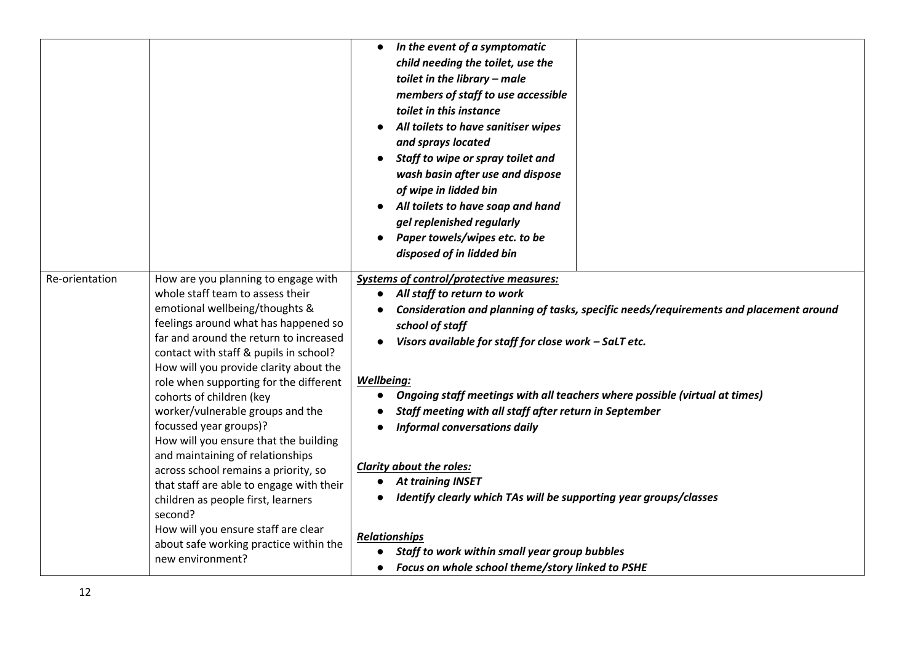|                |                                                                                                                                                                                                                                                                                                                                                                                                                                                                                                  | In the event of a symptomatic<br>child needing the toilet, use the<br>toilet in the library - male<br>members of staff to use accessible<br>toilet in this instance<br>All toilets to have sanitiser wipes<br>and sprays located<br>Staff to wipe or spray toilet and<br>wash basin after use and dispose<br>of wipe in lidded bin<br>All toilets to have soap and hand<br>gel replenished regularly<br>Paper towels/wipes etc. to be<br>$\bullet$<br>disposed of in lidded bin |
|----------------|--------------------------------------------------------------------------------------------------------------------------------------------------------------------------------------------------------------------------------------------------------------------------------------------------------------------------------------------------------------------------------------------------------------------------------------------------------------------------------------------------|---------------------------------------------------------------------------------------------------------------------------------------------------------------------------------------------------------------------------------------------------------------------------------------------------------------------------------------------------------------------------------------------------------------------------------------------------------------------------------|
| Re-orientation | How are you planning to engage with<br>whole staff team to assess their<br>emotional wellbeing/thoughts &<br>feelings around what has happened so<br>far and around the return to increased<br>contact with staff & pupils in school?<br>How will you provide clarity about the<br>role when supporting for the different<br>cohorts of children (key<br>worker/vulnerable groups and the<br>focussed year groups)?<br>How will you ensure that the building<br>and maintaining of relationships | <b>Systems of control/protective measures:</b><br>All staff to return to work<br>Consideration and planning of tasks, specific needs/requirements and placement around<br>school of staff<br>Visors available for staff for close work - SaLT etc.<br><b>Wellbeing:</b><br>Ongoing staff meetings with all teachers where possible (virtual at times)<br>Staff meeting with all staff after return in September<br><b>Informal conversations daily</b>                          |
|                | across school remains a priority, so<br>that staff are able to engage with their<br>children as people first, learners<br>second?<br>How will you ensure staff are clear<br>about safe working practice within the<br>new environment?                                                                                                                                                                                                                                                           | <b>Clarity about the roles:</b><br><b>At training INSET</b><br>Identify clearly which TAs will be supporting year groups/classes<br><b>Relationships</b><br>Staff to work within small year group bubbles<br>Focus on whole school theme/story linked to PSHE                                                                                                                                                                                                                   |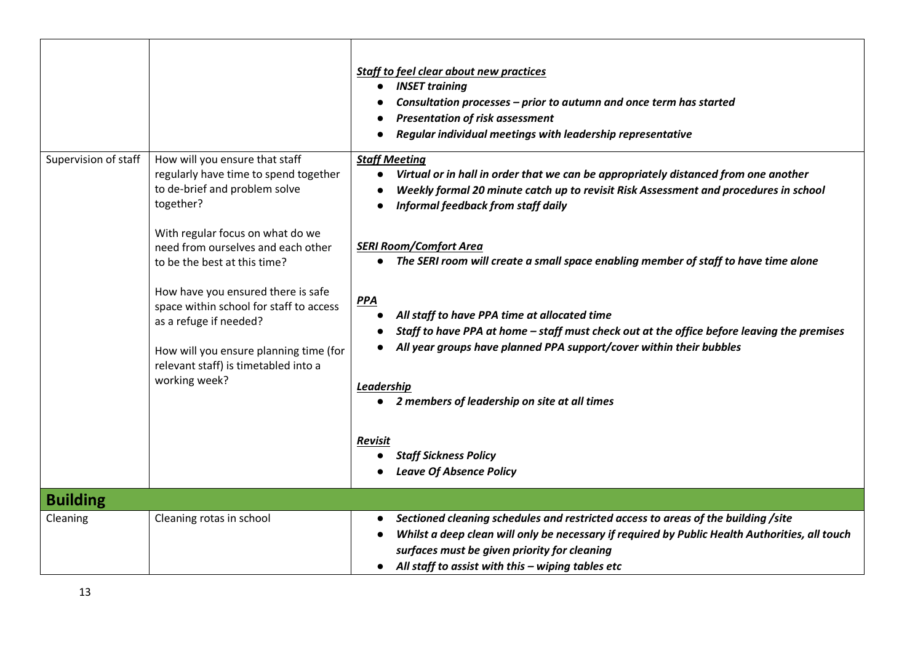|                             |                                                                                                                                                                                                                                                                                                                                                                                                                                               | Staff to feel clear about new practices<br><b>INSET training</b><br>$\bullet$<br>Consultation processes - prior to autumn and once term has started<br><b>Presentation of risk assessment</b><br>Regular individual meetings with leadership representative                                                                                                                                                                                                                                                                                                                                                                                                                                                          |
|-----------------------------|-----------------------------------------------------------------------------------------------------------------------------------------------------------------------------------------------------------------------------------------------------------------------------------------------------------------------------------------------------------------------------------------------------------------------------------------------|----------------------------------------------------------------------------------------------------------------------------------------------------------------------------------------------------------------------------------------------------------------------------------------------------------------------------------------------------------------------------------------------------------------------------------------------------------------------------------------------------------------------------------------------------------------------------------------------------------------------------------------------------------------------------------------------------------------------|
| Supervision of staff        | How will you ensure that staff<br>regularly have time to spend together<br>to de-brief and problem solve<br>together?<br>With regular focus on what do we<br>need from ourselves and each other<br>to be the best at this time?<br>How have you ensured there is safe<br>space within school for staff to access<br>as a refuge if needed?<br>How will you ensure planning time (for<br>relevant staff) is timetabled into a<br>working week? | <b>Staff Meeting</b><br>Virtual or in hall in order that we can be appropriately distanced from one another<br>Weekly formal 20 minute catch up to revisit Risk Assessment and procedures in school<br><b>Informal feedback from staff daily</b><br><b>SERI Room/Comfort Area</b><br>The SERI room will create a small space enabling member of staff to have time alone<br><b>PPA</b><br>All staff to have PPA time at allocated time<br>Staff to have PPA at home - staff must check out at the office before leaving the premises<br>All year groups have planned PPA support/cover within their bubbles<br>Leadership<br>2 members of leadership on site at all times<br>Revisit<br><b>Staff Sickness Policy</b> |
|                             |                                                                                                                                                                                                                                                                                                                                                                                                                                               | <b>Leave Of Absence Policy</b>                                                                                                                                                                                                                                                                                                                                                                                                                                                                                                                                                                                                                                                                                       |
| <b>Building</b><br>Cleaning | Cleaning rotas in school                                                                                                                                                                                                                                                                                                                                                                                                                      | Sectioned cleaning schedules and restricted access to areas of the building /site<br>Whilst a deep clean will only be necessary if required by Public Health Authorities, all touch<br>surfaces must be given priority for cleaning<br>All staff to assist with this $-$ wiping tables etc<br>$\bullet$                                                                                                                                                                                                                                                                                                                                                                                                              |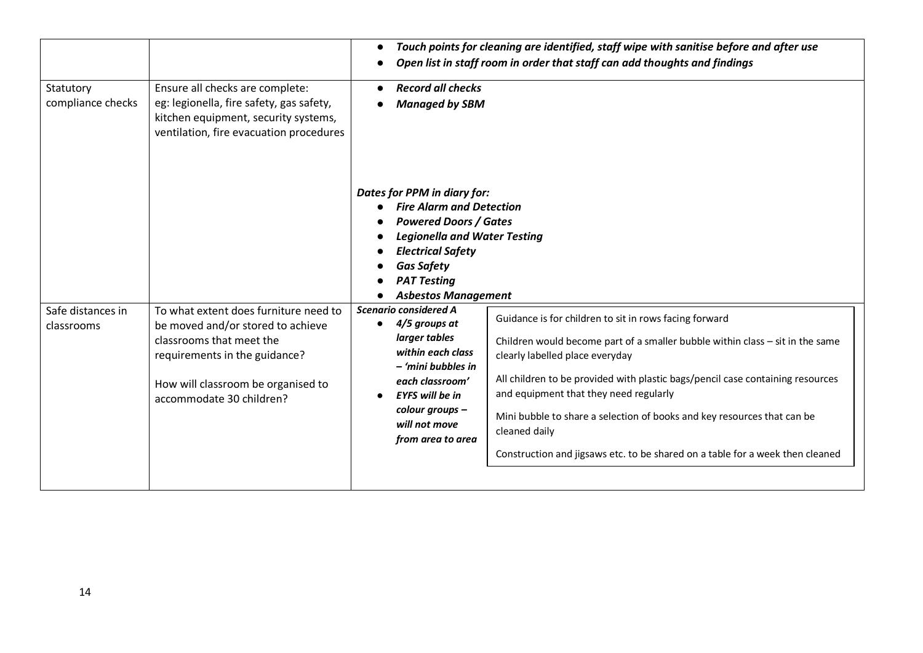| Statutory<br>compliance checks  | Ensure all checks are complete:<br>eg: legionella, fire safety, gas safety,<br>kitchen equipment, security systems,<br>ventilation, fire evacuation procedures                                            | $\bullet$<br><b>Record all checks</b><br><b>Managed by SBM</b>                                                                                                                                                                             | Touch points for cleaning are identified, staff wipe with sanitise before and after use<br>Open list in staff room in order that staff can add thoughts and findings                                                                                                                                                                                                                                                                                                                  |
|---------------------------------|-----------------------------------------------------------------------------------------------------------------------------------------------------------------------------------------------------------|--------------------------------------------------------------------------------------------------------------------------------------------------------------------------------------------------------------------------------------------|---------------------------------------------------------------------------------------------------------------------------------------------------------------------------------------------------------------------------------------------------------------------------------------------------------------------------------------------------------------------------------------------------------------------------------------------------------------------------------------|
|                                 |                                                                                                                                                                                                           | Dates for PPM in diary for:<br><b>Fire Alarm and Detection</b><br><b>Powered Doors / Gates</b><br><b>Legionella and Water Testing</b><br><b>Electrical Safety</b><br><b>Gas Safety</b><br><b>PAT Testing</b><br><b>Asbestos Management</b> |                                                                                                                                                                                                                                                                                                                                                                                                                                                                                       |
| Safe distances in<br>classrooms | To what extent does furniture need to<br>be moved and/or stored to achieve<br>classrooms that meet the<br>requirements in the guidance?<br>How will classroom be organised to<br>accommodate 30 children? | Scenario considered A<br>4/5 groups at<br>larger tables<br>within each class<br>- 'mini bubbles in<br>each classroom'<br><b>EYFS will be in</b><br>colour groups -<br>will not move<br>from area to area                                   | Guidance is for children to sit in rows facing forward<br>Children would become part of a smaller bubble within class $-$ sit in the same<br>clearly labelled place everyday<br>All children to be provided with plastic bags/pencil case containing resources<br>and equipment that they need regularly<br>Mini bubble to share a selection of books and key resources that can be<br>cleaned daily<br>Construction and jigsaws etc. to be shared on a table for a week then cleaned |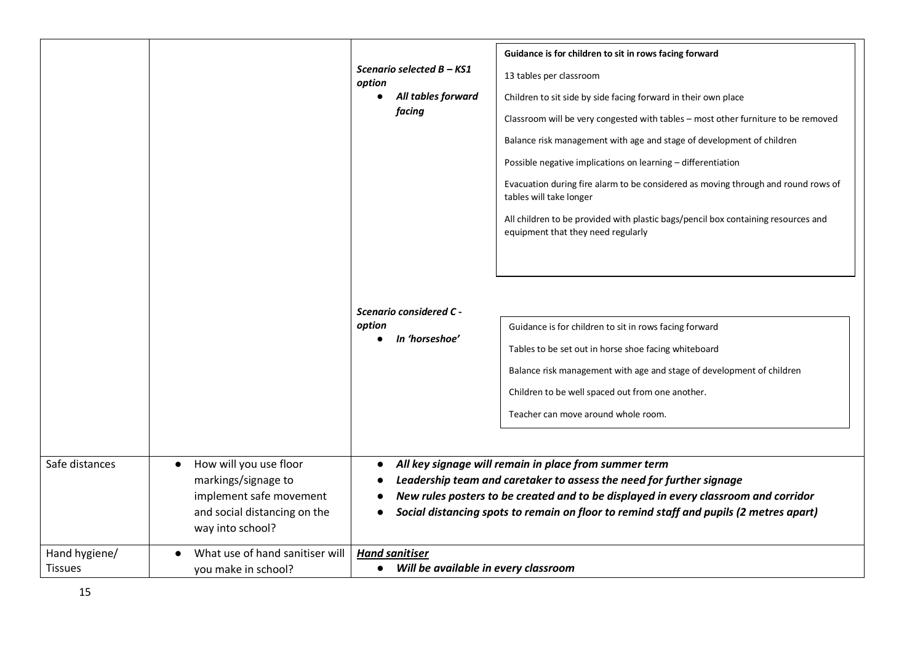| Safe distances                  | How will you use floor<br>$\bullet$<br>markings/signage to                  | Guidance is for children to sit in rows facing forward<br>Scenario selected B - KS1<br>13 tables per classroom<br>option<br>All tables forward<br>Children to sit side by side facing forward in their own place<br>facing<br>Classroom will be very congested with tables - most other furniture to be removed<br>Balance risk management with age and stage of development of children<br>Possible negative implications on learning - differentiation<br>Evacuation during fire alarm to be considered as moving through and round rows of<br>tables will take longer<br>All children to be provided with plastic bags/pencil box containing resources and<br>equipment that they need regularly<br>Scenario considered C -<br>option<br>Guidance is for children to sit in rows facing forward<br>In 'horseshoe'<br>$\bullet$<br>Tables to be set out in horse shoe facing whiteboard<br>Balance risk management with age and stage of development of children<br>Children to be well spaced out from one another.<br>Teacher can move around whole room.<br>All key signage will remain in place from summer term<br>Leadership team and caretaker to assess the need for further signage |
|---------------------------------|-----------------------------------------------------------------------------|------------------------------------------------------------------------------------------------------------------------------------------------------------------------------------------------------------------------------------------------------------------------------------------------------------------------------------------------------------------------------------------------------------------------------------------------------------------------------------------------------------------------------------------------------------------------------------------------------------------------------------------------------------------------------------------------------------------------------------------------------------------------------------------------------------------------------------------------------------------------------------------------------------------------------------------------------------------------------------------------------------------------------------------------------------------------------------------------------------------------------------------------------------------------------------------------|
|                                 | implement safe movement<br>and social distancing on the<br>way into school? | New rules posters to be created and to be displayed in every classroom and corridor<br>Social distancing spots to remain on floor to remind staff and pupils (2 metres apart)                                                                                                                                                                                                                                                                                                                                                                                                                                                                                                                                                                                                                                                                                                                                                                                                                                                                                                                                                                                                                  |
| Hand hygiene/<br><b>Tissues</b> | What use of hand sanitiser will<br>you make in school?                      | <b>Hand sanitiser</b><br>• Will be available in every classroom                                                                                                                                                                                                                                                                                                                                                                                                                                                                                                                                                                                                                                                                                                                                                                                                                                                                                                                                                                                                                                                                                                                                |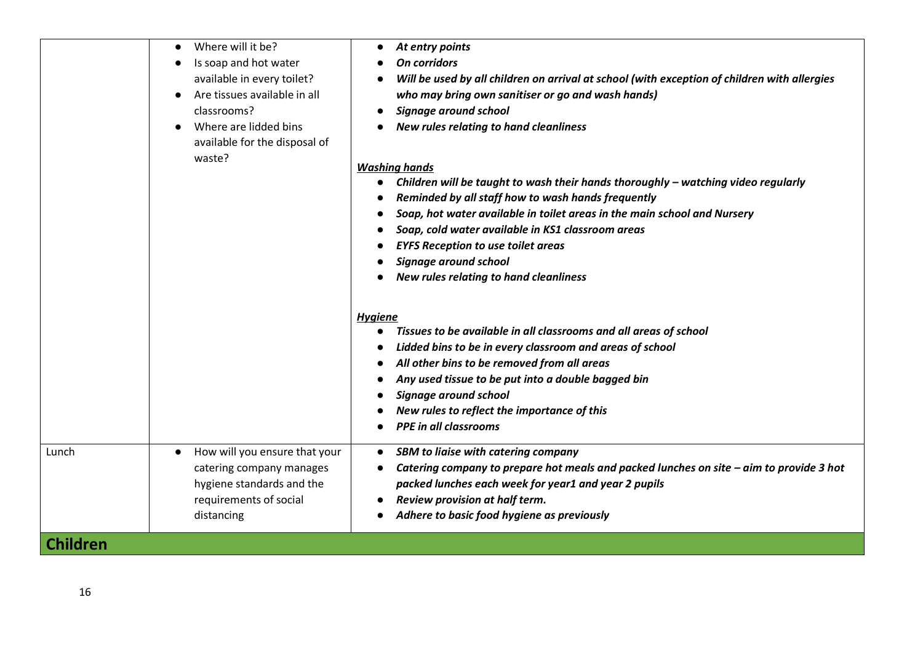|                 | Where will it be?<br>$\bullet$<br>Is soap and hot water<br>available in every toilet?<br>Are tissues available in all<br>$\bullet$<br>classrooms?<br>Where are lidded bins<br>available for the disposal of<br>waste? | At entry points<br>$\bullet$<br>On corridors<br>Will be used by all children on arrival at school (with exception of children with allergies<br>who may bring own sanitiser or go and wash hands)<br><b>Signage around school</b><br>New rules relating to hand cleanliness<br><b>Washing hands</b><br>Children will be taught to wash their hands thoroughly - watching video regularly<br>Reminded by all staff how to wash hands frequently<br>Soap, hot water available in toilet areas in the main school and Nursery<br>Soap, cold water available in KS1 classroom areas<br><b>EYFS Reception to use toilet areas</b><br>Signage around school<br>New rules relating to hand cleanliness<br><b>Hygiene</b><br>Tissues to be available in all classrooms and all areas of school<br>$\bullet$<br>Lidded bins to be in every classroom and areas of school<br>All other bins to be removed from all areas<br>Any used tissue to be put into a double bagged bin<br>Signage around school<br>New rules to reflect the importance of this<br><b>PPE in all classrooms</b> |
|-----------------|-----------------------------------------------------------------------------------------------------------------------------------------------------------------------------------------------------------------------|------------------------------------------------------------------------------------------------------------------------------------------------------------------------------------------------------------------------------------------------------------------------------------------------------------------------------------------------------------------------------------------------------------------------------------------------------------------------------------------------------------------------------------------------------------------------------------------------------------------------------------------------------------------------------------------------------------------------------------------------------------------------------------------------------------------------------------------------------------------------------------------------------------------------------------------------------------------------------------------------------------------------------------------------------------------------------|
| Lunch           | How will you ensure that your<br>$\bullet$<br>catering company manages<br>hygiene standards and the<br>requirements of social<br>distancing                                                                           | <b>SBM to liaise with catering company</b><br>$\bullet$<br>Catering company to prepare hot meals and packed lunches on site - aim to provide 3 hot<br>packed lunches each week for year1 and year 2 pupils<br>Review provision at half term.<br>Adhere to basic food hygiene as previously                                                                                                                                                                                                                                                                                                                                                                                                                                                                                                                                                                                                                                                                                                                                                                                   |
| <b>Children</b> |                                                                                                                                                                                                                       |                                                                                                                                                                                                                                                                                                                                                                                                                                                                                                                                                                                                                                                                                                                                                                                                                                                                                                                                                                                                                                                                              |
|                 |                                                                                                                                                                                                                       |                                                                                                                                                                                                                                                                                                                                                                                                                                                                                                                                                                                                                                                                                                                                                                                                                                                                                                                                                                                                                                                                              |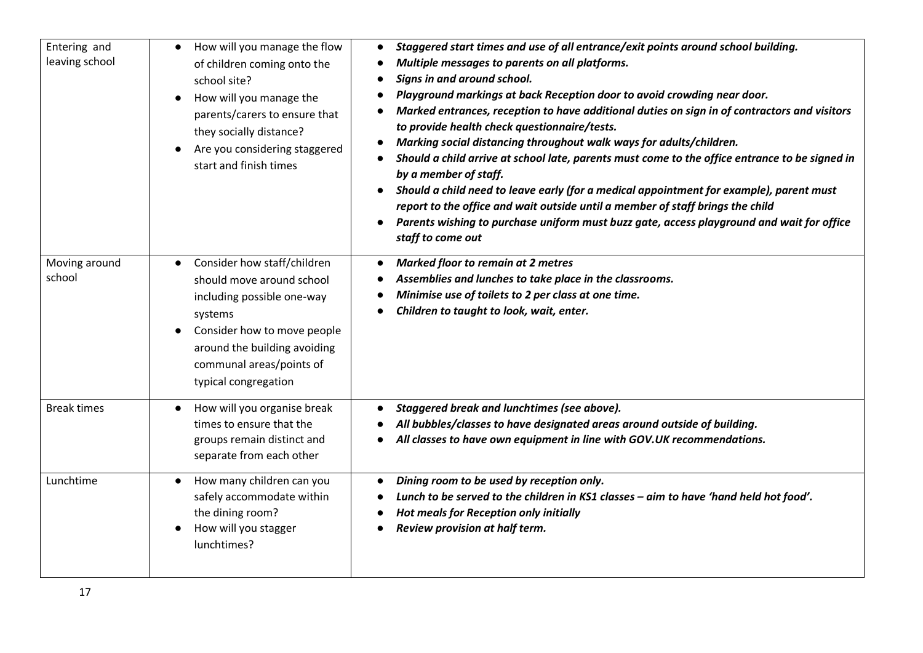| Entering and<br>leaving school | How will you manage the flow<br>of children coming onto the<br>school site?<br>How will you manage the<br>$\bullet$<br>parents/carers to ensure that<br>they socially distance?<br>Are you considering staggered<br>$\bullet$<br>start and finish times | Staggered start times and use of all entrance/exit points around school building.<br>$\bullet$<br>Multiple messages to parents on all platforms.<br>Signs in and around school.<br>Playground markings at back Reception door to avoid crowding near door.<br>Marked entrances, reception to have additional duties on sign in of contractors and visitors<br>to provide health check questionnaire/tests.<br>Marking social distancing throughout walk ways for adults/children.<br>Should a child arrive at school late, parents must come to the office entrance to be signed in<br>$\bullet$<br>by a member of staff.<br>Should a child need to leave early (for a medical appointment for example), parent must<br>report to the office and wait outside until a member of staff brings the child<br>Parents wishing to purchase uniform must buzz gate, access playground and wait for office<br>$\bullet$<br>staff to come out |
|--------------------------------|---------------------------------------------------------------------------------------------------------------------------------------------------------------------------------------------------------------------------------------------------------|---------------------------------------------------------------------------------------------------------------------------------------------------------------------------------------------------------------------------------------------------------------------------------------------------------------------------------------------------------------------------------------------------------------------------------------------------------------------------------------------------------------------------------------------------------------------------------------------------------------------------------------------------------------------------------------------------------------------------------------------------------------------------------------------------------------------------------------------------------------------------------------------------------------------------------------|
| Moving around<br>school        | Consider how staff/children<br>should move around school<br>including possible one-way<br>systems<br>Consider how to move people<br>$\bullet$<br>around the building avoiding<br>communal areas/points of<br>typical congregation                       | <b>Marked floor to remain at 2 metres</b><br>Assemblies and lunches to take place in the classrooms.<br>Minimise use of toilets to 2 per class at one time.<br>Children to taught to look, wait, enter.                                                                                                                                                                                                                                                                                                                                                                                                                                                                                                                                                                                                                                                                                                                               |
| <b>Break times</b>             | How will you organise break<br>$\bullet$<br>times to ensure that the<br>groups remain distinct and<br>separate from each other                                                                                                                          | Staggered break and lunchtimes (see above).<br>All bubbles/classes to have designated areas around outside of building.<br>All classes to have own equipment in line with GOV.UK recommendations.                                                                                                                                                                                                                                                                                                                                                                                                                                                                                                                                                                                                                                                                                                                                     |
| Lunchtime                      | How many children can you<br>$\bullet$<br>safely accommodate within<br>the dining room?<br>How will you stagger<br>lunchtimes?                                                                                                                          | Dining room to be used by reception only.<br>$\bullet$<br>Lunch to be served to the children in KS1 classes - aim to have 'hand held hot food'.<br><b>Hot meals for Reception only initially</b><br>Review provision at half term.                                                                                                                                                                                                                                                                                                                                                                                                                                                                                                                                                                                                                                                                                                    |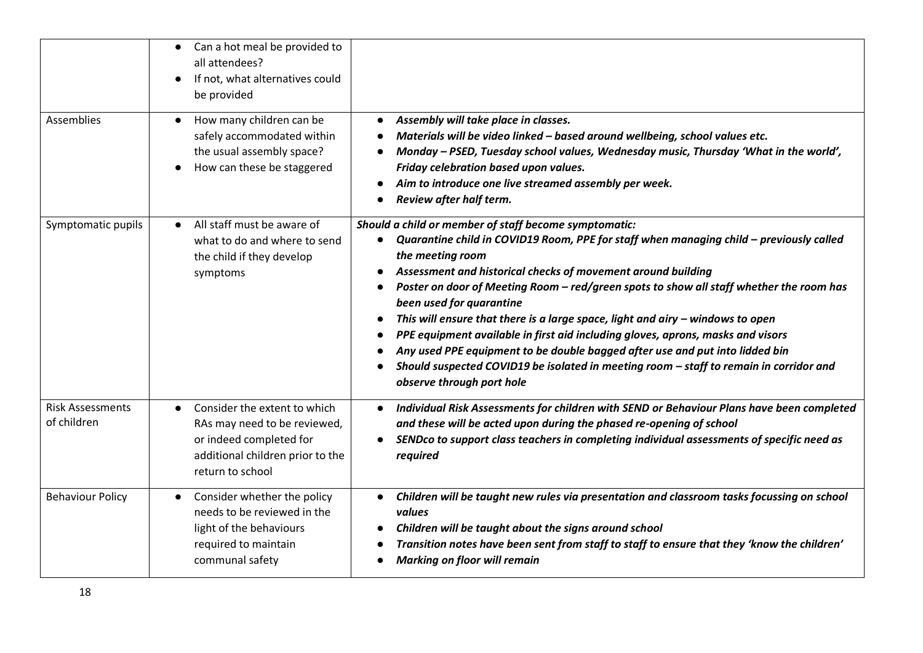|                                        | Can a hot meal be provided to<br>all attendees?<br>If not, what alternatives could<br>$\bullet$<br>be provided                                  |                                                                                                                                                                                                                                                                                                                                                                                                                                                                                                                                                                                                                                                                                                                                                                     |
|----------------------------------------|-------------------------------------------------------------------------------------------------------------------------------------------------|---------------------------------------------------------------------------------------------------------------------------------------------------------------------------------------------------------------------------------------------------------------------------------------------------------------------------------------------------------------------------------------------------------------------------------------------------------------------------------------------------------------------------------------------------------------------------------------------------------------------------------------------------------------------------------------------------------------------------------------------------------------------|
| Assemblies                             | How many children can be<br>$\bullet$<br>safely accommodated within<br>the usual assembly space?<br>How can these be staggered                  | Assembly will take place in classes.<br>$\bullet$<br>Materials will be video linked - based around wellbeing, school values etc.<br>$\bullet$<br>Monday - PSED, Tuesday school values, Wednesday music, Thursday 'What in the world',<br>Friday celebration based upon values.<br>Aim to introduce one live streamed assembly per week.<br>Review after half term.                                                                                                                                                                                                                                                                                                                                                                                                  |
| Symptomatic pupils                     | All staff must be aware of<br>$\bullet$<br>what to do and where to send<br>the child if they develop<br>symptoms                                | Should a child or member of staff become symptomatic:<br>Quarantine child in COVID19 Room, PPE for staff when managing child - previously called<br>the meeting room<br>Assessment and historical checks of movement around building<br>Poster on door of Meeting Room - red/green spots to show all staff whether the room has<br>$\bullet$<br>been used for quarantine<br>This will ensure that there is a large space, light and airy $-$ windows to open<br>$\bullet$<br>PPE equipment available in first aid including gloves, aprons, masks and visors<br>Any used PPE equipment to be double bagged after use and put into lidded bin<br>Should suspected COVID19 be isolated in meeting room - staff to remain in corridor and<br>observe through port hole |
| <b>Risk Assessments</b><br>of children | Consider the extent to which<br>RAs may need to be reviewed,<br>or indeed completed for<br>additional children prior to the<br>return to school | Individual Risk Assessments for children with SEND or Behaviour Plans have been completed<br>$\bullet$<br>and these will be acted upon during the phased re-opening of school<br>SENDco to support class teachers in completing individual assessments of specific need as<br>required                                                                                                                                                                                                                                                                                                                                                                                                                                                                              |
| <b>Behaviour Policy</b>                | Consider whether the policy<br>$\bullet$<br>needs to be reviewed in the<br>light of the behaviours<br>required to maintain<br>communal safety   | Children will be taught new rules via presentation and classroom tasks focussing on school<br>$\bullet$<br>values<br>Children will be taught about the signs around school<br>Transition notes have been sent from staff to staff to ensure that they 'know the children'<br><b>Marking on floor will remain</b>                                                                                                                                                                                                                                                                                                                                                                                                                                                    |